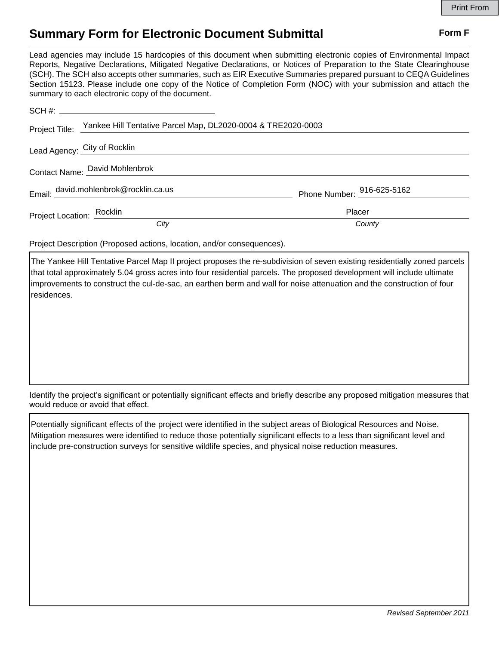## **Summary Form for Electronic Document Submittal Form F Form F**

Lead agencies may include 15 hardcopies of this document when submitting electronic copies of Environmental Impact Reports, Negative Declarations, Mitigated Negative Declarations, or Notices of Preparation to the State Clearinghouse (SCH). The SCH also accepts other summaries, such as EIR Executive Summaries prepared pursuant to CEQA Guidelines Section 15123. Please include one copy of the Notice of Completion Form (NOC) with your submission and attach the summary to each electronic copy of the document.

|                                | Project Title: Yankee Hill Tentative Parcel Map, DL2020-0004 & TRE2020-0003 |                                        |
|--------------------------------|-----------------------------------------------------------------------------|----------------------------------------|
| Lead Agency: City of Rocklin   |                                                                             |                                        |
| Contact Name: David Mohlenbrok |                                                                             |                                        |
|                                | Email: david.mohlenbrok@rocklin.ca.us                                       | Phone Number: $\frac{916-625-5162}{2}$ |
| Project Location: Rocklin      |                                                                             | Placer                                 |
|                                | City                                                                        | County                                 |

Project Description (Proposed actions, location, and/or consequences).

The Yankee Hill Tentative Parcel Map II project proposes the re-subdivision of seven existing residentially zoned parcels that total approximately 5.04 gross acres into four residential parcels. The proposed development will include ultimate improvements to construct the cul-de-sac, an earthen berm and wall for noise attenuation and the construction of four residences.

Identify the project's significant or potentially significant effects and briefly describe any proposed mitigation measures that would reduce or avoid that effect.

Potentially significant effects of the project were identified in the subject areas of Biological Resources and Noise. Mitigation measures were identified to reduce those potentially significant effects to a less than significant level and include pre-construction surveys for sensitive wildlife species, and physical noise reduction measures.